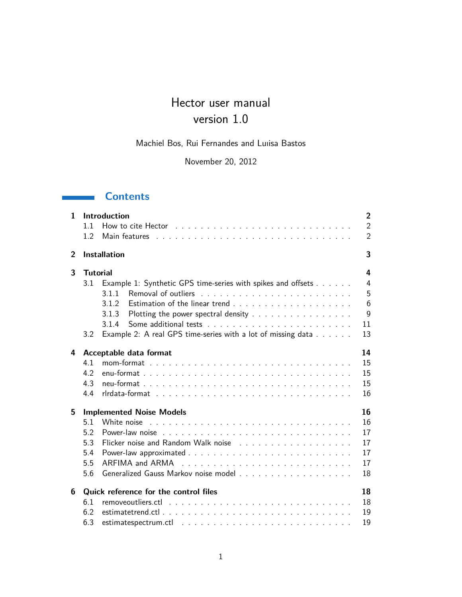# Hector user manual version 1.0

# Machiel Bos, Rui Fernandes and Luıisa Bastos

November 20, 2012

# **Contents**

 $\sim 10$ 

| 1              |                 | Introduction                                                 | $\overline{2}$ |
|----------------|-----------------|--------------------------------------------------------------|----------------|
|                | 11              |                                                              | $\overline{2}$ |
|                | 1.2             |                                                              | $\overline{2}$ |
| $\overline{2}$ |                 | Installation                                                 | 3              |
| 3              | <b>Tutorial</b> |                                                              | 4              |
|                | 3.1             | Example 1: Synthetic GPS time-series with spikes and offsets | $\overline{4}$ |
|                |                 | 3.1.1                                                        | 5              |
|                |                 | 3.1.2                                                        | 6              |
|                |                 | 3.1.3<br>Plotting the power spectral density                 | 9              |
|                |                 | 3.1.4                                                        | 11             |
|                | 3.2             | Example 2: A real GPS time-series with a lot of missing data | 13             |
| 4              |                 | Acceptable data format                                       | 14             |
|                | 4.1             |                                                              | 15             |
|                | 4.2             |                                                              | 15             |
|                | 4.3             |                                                              | 15             |
|                | 4.4             |                                                              | 16             |
|                |                 |                                                              |                |
| 5.             |                 | <b>Implemented Noise Models</b>                              | 16             |
|                | 5.1             |                                                              | 16             |
|                | 5.2             |                                                              | 17             |
|                | 5.3             |                                                              | 17             |
|                | 5.4             |                                                              | 17             |
|                | 5.5             |                                                              | 17             |
|                | 5.6             |                                                              | 18             |
| 6              |                 | Quick reference for the control files                        | 18             |
|                | 6.1             |                                                              | 18             |
|                | 6.2             |                                                              | 19             |
|                | 6.3             |                                                              | 19             |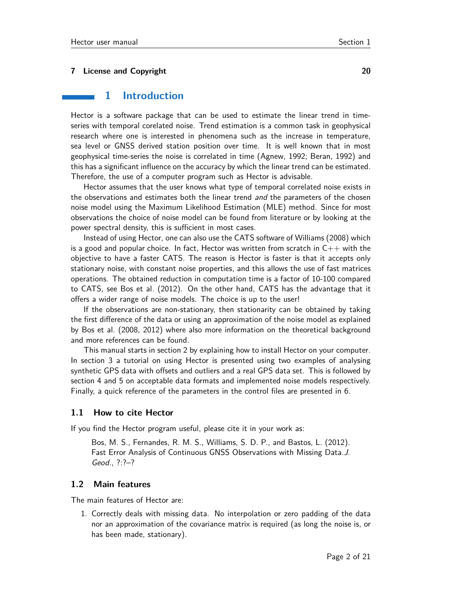#### **7 License and Copyright 20**

### **1 Introduction**

Hector is a software package that can be used to estimate the linear trend in timeseries with temporal corelated noise. Trend estimation is a common task in geophysical research where one is interested in phenomena such as the increase in temperature, sea level or GNSS derived station position over time. It is well known that in most geophysical time-series the noise is correlated in time (Agnew, 1992; Beran, 1992) and this has a significant influence on the accuracy by which the linear trend can be estimated. Therefore, the use of a computer program such as Hector is advisable.

Hector assumes that the user knows what type of temporal correlated noise exists in the observations and estimates both the linear trend *and* the parameters of the chosen noise model using the Maximum Likelihood Estimation (MLE) method. Since for most observations the choice of noise model can be found from literature or by looking at the power spectral density, this is sufficient in most cases.

Instead of using Hector, one can also use the CATS software of Williams (2008) which is a good and popular choice. In fact, Hector was written from scratch in  $C_{++}$  with the objective to have a faster CATS. The reason is Hector is faster is that it accepts only stationary noise, with constant noise properties, and this allows the use of fast matrices operations. The obtained reduction in computation time is a factor of 10-100 compared to CATS, see Bos et al. (2012). On the other hand, CATS has the advantage that it offers a wider range of noise models. The choice is up to the user!

If the observations are non-stationary, then stationarity can be obtained by taking the first difference of the data or using an approximation of the noise model as explained by Bos et al. (2008, 2012) where also more information on the theoretical background and more references can be found.

This manual starts in section 2 by explaining how to install Hector on your computer. In section 3 a tutorial on using Hector is presented using two examples of analysing synthetic GPS data with offsets and outliers and a real GPS data set. This is followed by section 4 and 5 on acceptable data formats and implemented noise models respectively. Finally, a quick reference of the parameters in the control files are presented in 6.

#### **1.1 How to cite Hector**

If you find the Hector program useful, please cite it in your work as:

Bos, M. S., Fernandes, R. M. S., Williams, S. D. P., and Bastos, L. (2012). Fast Error Analysis of Continuous GNSS Observations with Missing Data.J. Geod., ?:?–?

#### **1.2 Main features**

The main features of Hector are:

1. Correctly deals with missing data. No interpolation or zero padding of the data nor an approximation of the covariance matrix is required (as long the noise is, or has been made, stationary).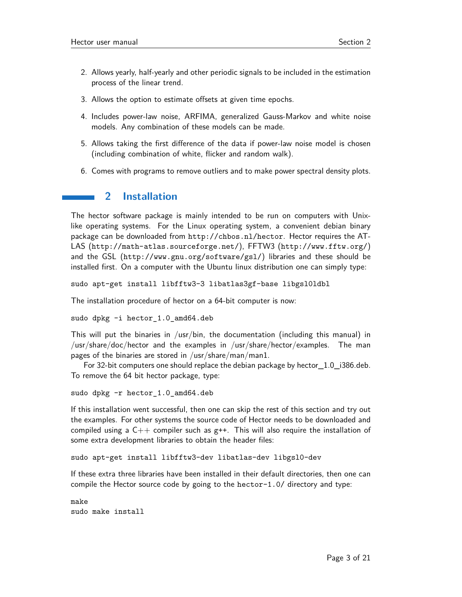- 2. Allows yearly, half-yearly and other periodic signals to be included in the estimation process of the linear trend.
- 3. Allows the option to estimate offsets at given time epochs.
- 4. Includes power-law noise, ARFIMA, generalized Gauss-Markov and white noise models. Any combination of these models can be made.
- 5. Allows taking the first difference of the data if power-law noise model is chosen (including combination of white, flicker and random walk).
- 6. Comes with programs to remove outliers and to make power spectral density plots.

# **2 Installation**

The hector software package is mainly intended to be run on computers with Unixlike operating systems. For the Linux operating system, a convenient debian binary package can be downloaded from http://chbos.nl/hector. Hector requires the AT-LAS (http://math-atlas.sourceforge.net/), FFTW3 (http://www.fftw.org/) and the GSL (http://www.gnu.org/software/gsl/) libraries and these should be installed first. On a computer with the Ubuntu linux distribution one can simply type:

```
sudo apt-get install libfftw3-3 libatlas3gf-base libgsl0ldbl
```
The installation procedure of hector on a 64-bit computer is now:

```
sudo dpkg -i hector_1.0_amd64.deb
```
This will put the binaries in /usr/bin, the documentation (including this manual) in /usr/share/doc/hector and the examples in /usr/share/hector/examples. The man pages of the binaries are stored in /usr/share/man/man1.

For 32-bit computers one should replace the debian package by hector 1.0 i386.deb. To remove the 64 bit hector package, type:

```
sudo dpkg -r hector_1.0_amd64.deb
```
If this installation went successful, then one can skip the rest of this section and try out the examples. For other systems the source code of Hector needs to be downloaded and compiled using a  $C++$  compiler such as  $g++$ . This will also require the installation of some extra development libraries to obtain the header files:

```
sudo apt-get install libfftw3-dev libatlas-dev libgsl0-dev
```
If these extra three libraries have been installed in their default directories, then one can compile the Hector source code by going to the hector-1.0/ directory and type:

make sudo make install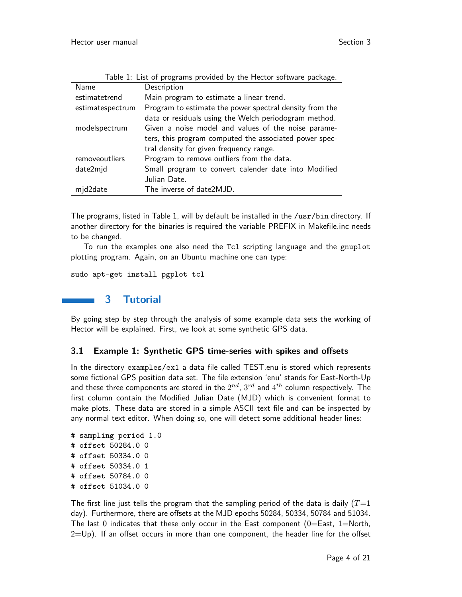| Name             | Description                                             |
|------------------|---------------------------------------------------------|
| estimatetrend    | Main program to estimate a linear trend.                |
| estimatespectrum | Program to estimate the power spectral density from the |
|                  | data or residuals using the Welch periodogram method.   |
| modelspectrum    | Given a noise model and values of the noise parame-     |
|                  | ters, this program computed the associated power spec-  |
|                  | tral density for given frequency range.                 |
| removeoutliers   | Program to remove outliers from the data.               |
| date2mjd         | Small program to convert calender date into Modified    |
|                  | Julian Date.                                            |
| mjd2date         | The inverse of date2MJD.                                |

Table 1: List of programs provided by the Hector software package.

The programs, listed in Table 1, will by default be installed in the /usr/bin directory. If another directory for the binaries is required the variable PREFIX in Makefile.inc needs to be changed.

To run the examples one also need the Tcl scripting language and the gnuplot plotting program. Again, on an Ubuntu machine one can type:

sudo apt-get install pgplot tcl

# **3 Tutorial**

By going step by step through the analysis of some example data sets the working of Hector will be explained. First, we look at some synthetic GPS data.

#### **3.1 Example 1: Synthetic GPS time-series with spikes and offsets**

In the directory examples/ex1 a data file called TEST.enu is stored which represents some fictional GPS position data set. The file extension 'enu' stands for East-North-Up and these three components are stored in the  $2^{nd}$ ,  $3^{rd}$  and  $4^{th}$  column respectively. The first column contain the Modified Julian Date (MJD) which is convenient format to make plots. These data are stored in a simple ASCII text file and can be inspected by any normal text editor. When doing so, one will detect some additional header lines:

```
# sampling period 1.0
# offset 50284.0 0
# offset 50334.0 0
# offset 50334.0 1
# offset 50784.0 0
# offset 51034.0 0
```
The first line just tells the program that the sampling period of the data is daily  $(T=1)$ day). Furthermore, there are offsets at the MJD epochs 50284, 50334, 50784 and 51034. The last 0 indicates that these only occur in the East component  $(0=Ex, 1=North,$  $2=Up$ . If an offset occurs in more than one component, the header line for the offset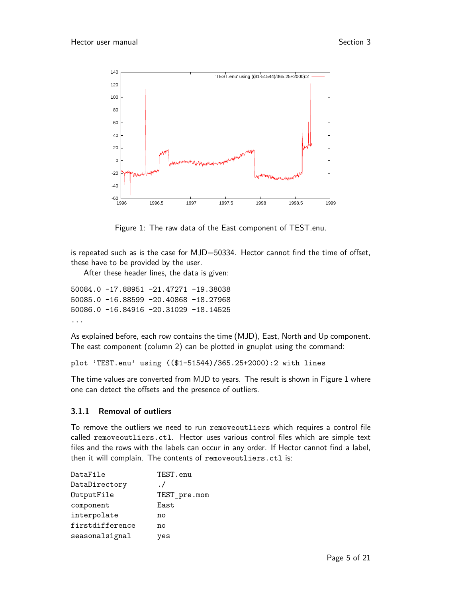

Figure 1: The raw data of the East component of TEST.enu.

is repeated such as is the case for MJD=50334. Hector cannot find the time of offset, these have to be provided by the user.

After these header lines, the data is given:

50084.0 -17.88951 -21.47271 -19.38038 50085.0 -16.88599 -20.40868 -18.27968 50086.0 -16.84916 -20.31029 -18.14525 ...

As explained before, each row contains the time (MJD), East, North and Up component. The east component (column 2) can be plotted in gnuplot using the command:

plot 'TEST.enu' using ((\$1-51544)/365.25+2000):2 with lines

The time values are converted from MJD to years. The result is shown in Figure 1 where one can detect the offsets and the presence of outliers.

#### **3.1.1 Removal of outliers**

To remove the outliers we need to run removeoutliers which requires a control file called removeoutliers.ctl. Hector uses various control files which are simple text files and the rows with the labels can occur in any order. If Hector cannot find a label, then it will complain. The contents of removeoutliers.ctl is:

| DataFile        | TEST.enu     |
|-----------------|--------------|
| DataDirectory   | $\cdot$ /    |
| OutputFile      | TEST_pre.mom |
| component       | East         |
| interpolate     | no           |
| firstdifference | no           |
| seasonalsignal  | ves          |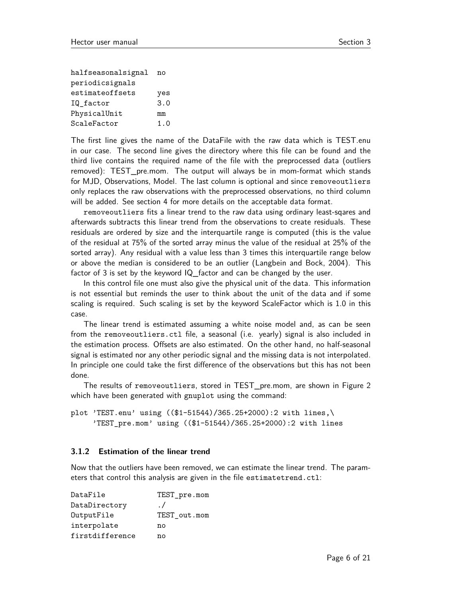| halfseasonalsignal | no  |
|--------------------|-----|
| periodicsignals    |     |
| estimateoffsets    | yes |
| IQ_factor          | 3.0 |
| PhysicalUnit       | mm  |
| ScaleFactor        | 1.0 |

The first line gives the name of the DataFile with the raw data which is TEST.enu in our case. The second line gives the directory where this file can be found and the third live contains the required name of the file with the preprocessed data (outliers removed): TEST\_pre.mom. The output will always be in mom-format which stands for MJD, Observations, Model. The last column is optional and since removeoutliers only replaces the raw observations with the preprocessed observations, no third column will be added. See section 4 for more details on the acceptable data format.

removeoutliers fits a linear trend to the raw data using ordinary least-sqares and afterwards subtracts this linear trend from the observations to create residuals. These residuals are ordered by size and the interquartile range is computed (this is the value of the residual at 75% of the sorted array minus the value of the residual at 25% of the sorted array). Any residual with a value less than 3 times this interquartile range below or above the median is considered to be an outlier (Langbein and Bock, 2004). This factor of 3 is set by the keyword IQ\_factor and can be changed by the user.

In this control file one must also give the physical unit of the data. This information is not essential but reminds the user to think about the unit of the data and if some scaling is required. Such scaling is set by the keyword ScaleFactor which is 1.0 in this case.

The linear trend is estimated assuming a white noise model and, as can be seen from the removeoutliers.ctl file, a seasonal (i.e. yearly) signal is also included in the estimation process. Offsets are also estimated. On the other hand, no half-seasonal signal is estimated nor any other periodic signal and the missing data is not interpolated. In principle one could take the first difference of the observations but this has not been done.

The results of removeoutliers, stored in TEST\_pre.mom, are shown in Figure 2 which have been generated with gnuplot using the command:

plot 'TEST.enu' using ((\$1-51544)/365.25+2000):2 with lines,\ 'TEST\_pre.mom' using ((\$1-51544)/365.25+2000):2 with lines

#### **3.1.2 Estimation of the linear trend**

Now that the outliers have been removed, we can estimate the linear trend. The parameters that control this analysis are given in the file estimatetrend.ctl:

| DataFile        | TEST_pre.mom |
|-----------------|--------------|
| DataDirectory   | $\cdot$ /    |
| OutputFile      | TEST out.mom |
| interpolate     | nο           |
| firstdifference | n۵           |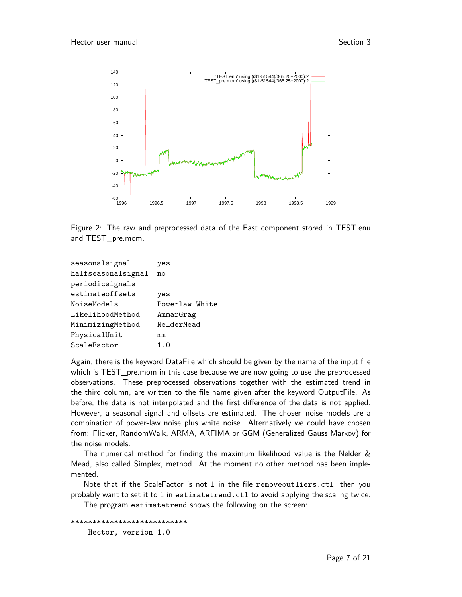

Figure 2: The raw and preprocessed data of the East component stored in TEST.enu and TEST\_pre.mom.

| seasonalsignal     | yes            |
|--------------------|----------------|
| halfseasonalsignal | no             |
| periodicsignals    |                |
| estimateoffsets    | yes            |
| NoiseModels        | Powerlaw White |
| LikelihoodMethod   | AmmarGrag      |
| MinimizingMethod   | NelderMead     |
| PhysicalUnit       | mm             |
| ScaleFactor        | 1. 0           |
|                    |                |

Again, there is the keyword DataFile which should be given by the name of the input file which is TEST\_pre.mom in this case because we are now going to use the preprocessed observations. These preprocessed observations together with the estimated trend in the third column, are written to the file name given after the keyword OutputFile. As before, the data is not interpolated and the first difference of the data is not applied. However, a seasonal signal and offsets are estimated. The chosen noise models are a combination of power-law noise plus white noise. Alternatively we could have chosen from: Flicker, RandomWalk, ARMA, ARFIMA or GGM (Generalized Gauss Markov) for the noise models.

The numerical method for finding the maximum likelihood value is the Nelder & Mead, also called Simplex, method. At the moment no other method has been implemented.

Note that if the ScaleFactor is not 1 in the file removeoutliers.ctl, then you probably want to set it to 1 in estimatetrend.ctl to avoid applying the scaling twice.

The program estimatetrend shows the following on the screen:

```
***************************
    Hector, version 1.0
```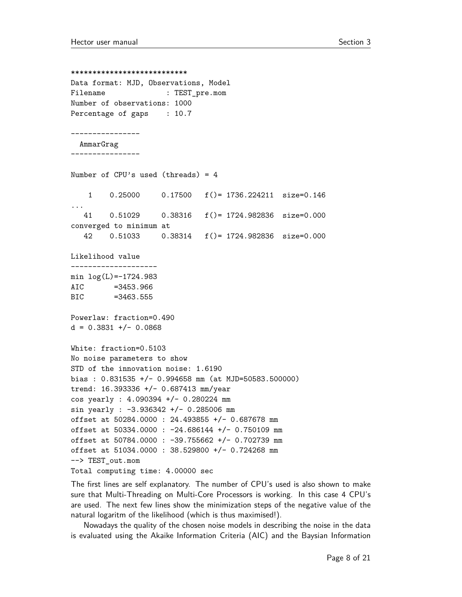```
***************************
Data format: MJD, Observations, Model
Filename : TEST_pre.mom
Number of observations: 1000
Percentage of gaps : 10.7
 ----------------
  AmmarGrag
----------------
Number of CPU's used (threads) = 4
    1 0.25000 0.17500 f()= 1736.224211 size=0.146
...
   41 0.51029 0.38316 f()= 1724.982836 size=0.000
converged to minimum at
   42 0.51033 0.38314 f()= 1724.982836 size=0.000
Likelihood value
--------------------
min log(L) = -1724.983AIC =3453.966
BIC =3463.555
Powerlaw: fraction=0.490
d = 0.3831 +/- 0.0868White: fraction=0.5103
No noise parameters to show
STD of the innovation noise: 1.6190
bias : 0.831535 +/- 0.994658 mm (at MJD=50583.500000)
trend: 16.393336 +/- 0.687413 mm/year
cos yearly : 4.090394 +/- 0.280224 mm
sin yearly : -3.936342 +/- 0.285006 mm
offset at 50284.0000 : 24.493855 +/- 0.687678 mm
offset at 50334.0000 : -24.686144 +/- 0.750109 mm
offset at 50784.0000 : -39.755662 +/- 0.702739 mm
offset at 51034.0000 : 38.529800 +/- 0.724268 mm
--> TEST_out.mom
Total computing time: 4.00000 sec
```
The first lines are self explanatory. The number of CPU's used is also shown to make sure that Multi-Threading on Multi-Core Processors is working. In this case 4 CPU's are used. The next few lines show the minimization steps of the negative value of the natural logaritm of the likelihood (which is thus maximised!).

Nowadays the quality of the chosen noise models in describing the noise in the data is evaluated using the Akaike Information Criteria (AIC) and the Baysian Information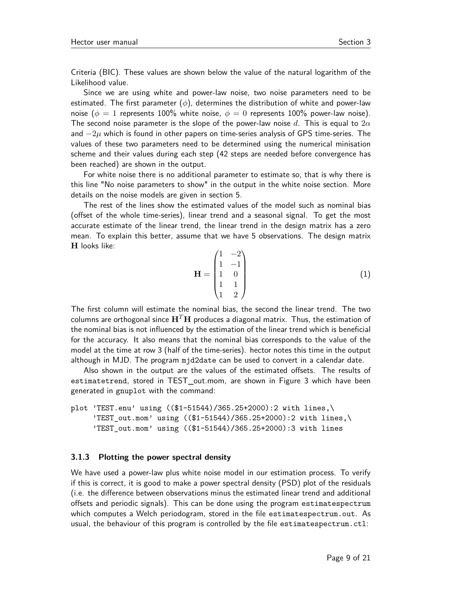Criteria (BIC). These values are shown below the value of the natural logarithm of the Likelihood value.

Since we are using white and power-law noise, two noise parameters need to be estimated. The first parameter  $(\phi)$ , determines the distribution of white and power-law noise ( $\phi = 1$  represents 100% white noise,  $\phi = 0$  represents 100% power-law noise). The second noise parameter is the slope of the power-law noise *d*. This is equal to 2*α* and −2*µ* which is found in other papers on time-series analysis of GPS time-series. The values of these two parameters need to be determined using the numerical minisation scheme and their values during each step (42 steps are needed before convergence has been reached) are shown in the output.

For white noise there is no additional parameter to estimate so, that is why there is this line "No noise parameters to show" in the output in the white noise section. More details on the noise models are given in section 5.

The rest of the lines show the estimated values of the model such as nominal bias (offset of the whole time-series), linear trend and a seasonal signal. To get the most accurate estimate of the linear trend, the linear trend in the design matrix has a zero mean. To explain this better, assume that we have 5 observations. The design matrix **H** looks like:

$$
\mathbf{H} = \begin{pmatrix} 1 & -2 \\ 1 & -1 \\ 1 & 0 \\ 1 & 1 \\ 1 & 2 \end{pmatrix}
$$
 (1)

The first column will estimate the nominal bias, the second the linear trend. The two columns are orthogonal since  $\mathbf{H}^T\mathbf{H}$  produces a diagonal matrix. Thus, the estimation of the nominal bias is not influenced by the estimation of the linear trend which is beneficial for the accuracy. It also means that the nominal bias corresponds to the value of the model at the time at row 3 (half of the time-series). hector notes this time in the output although in MJD. The program mjd2date can be used to convert in a calendar date.

Also shown in the output are the values of the estimated offsets. The results of estimatetrend, stored in TEST\_out.mom, are shown in Figure 3 which have been generated in gnuplot with the command:

```
plot 'TEST.enu' using (($1-51544)/365.25+2000):2 with lines,\
     'TEST_out.mom' using (($1-51544)/365.25+2000):2 with lines,\
     'TEST_out.mom' using (($1-51544)/365.25+2000):3 with lines
```
#### **3.1.3 Plotting the power spectral density**

We have used a power-law plus white noise model in our estimation process. To verify if this is correct, it is good to make a power spectral density (PSD) plot of the residuals (i.e. the difference between observations minus the estimated linear trend and additional offsets and periodic signals). This can be done using the program estimatespectrum which computes a Welch periodogram, stored in the file estimatespectrum.out. As usual, the behaviour of this program is controlled by the file estimatespectrum.ctl: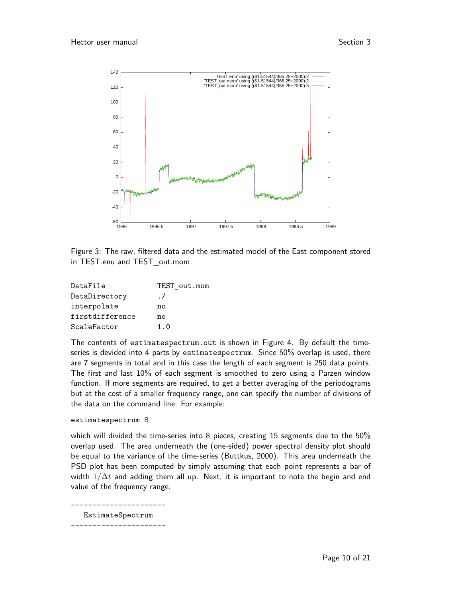

Figure 3: The raw, filtered data and the estimated model of the East component stored in TEST.enu and TEST out.mom.

| DataFile        | TEST_out.mom |
|-----------------|--------------|
| DataDirectory   | $\cdot$ /    |
| interpolate     | nο           |
| firstdifference | nο           |
| ScaleFactor     | 1.0          |

The contents of estimatespectrum.out is shown in Figure 4. By default the timeseries is devided into 4 parts by estimatespectrum. Since 50% overlap is used, there are 7 segments in total and in this case the length of each segment is 250 data points. The first and last 10% of each segment is smoothed to zero using a Parzen window function. If more segments are required, to get a better averaging of the periodograms but at the cost of a smaller frequency range, one can specify the number of divisions of the data on the command line. For example:

#### estimatespectrum 8

which will divided the time-series into 8 pieces, creating 15 segments due to the 50% overlap used. The area underneath the (one-sided) power spectral density plot should be equal to the variance of the time-series (Buttkus, 2000). This area underneath the PSD plot has been computed by simply assuming that each point represents a bar of width 1*/*∆*t* and adding them all up. Next, it is important to note the begin and end value of the frequency range.

---------------------- EstimateSpectrum ----------------------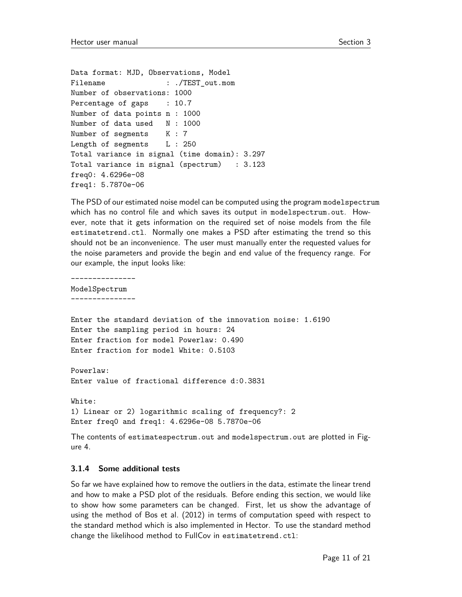```
Data format: MJD, Observations, Model
Filename : ./TEST_out.mom
Number of observations: 1000
Percentage of gaps : 10.7
Number of data points n : 1000
Number of data used N : 1000
Number of segments K : 7
Length of segments L : 250
Total variance in signal (time domain): 3.297
Total variance in signal (spectrum) : 3.123
freq0: 4.6296e-08
freq1: 5.7870e-06
```
The PSD of our estimated noise model can be computed using the program modelspectrum which has no control file and which saves its output in modelspectrum.out. However, note that it gets information on the required set of noise models from the file estimatetrend.ctl. Normally one makes a PSD after estimating the trend so this should not be an inconvenience. The user must manually enter the requested values for the noise parameters and provide the begin and end value of the frequency range. For our example, the input looks like:

---------------

ModelSpectrum

---------------

```
Enter the standard deviation of the innovation noise: 1.6190
Enter the sampling period in hours: 24
Enter fraction for model Powerlaw: 0.490
Enter fraction for model White: 0.5103
```
Powerlaw:

Enter value of fractional difference d:0.3831

White: 1) Linear or 2) logarithmic scaling of frequency?: 2 Enter freq0 and freq1: 4.6296e-08 5.7870e-06

The contents of estimatespectrum.out and modelspectrum.out are plotted in Figure 4.

#### **3.1.4 Some additional tests**

So far we have explained how to remove the outliers in the data, estimate the linear trend and how to make a PSD plot of the residuals. Before ending this section, we would like to show how some parameters can be changed. First, let us show the advantage of using the method of Bos et al. (2012) in terms of computation speed with respect to the standard method which is also implemented in Hector. To use the standard method change the likelihood method to FullCov in estimatetrend.ctl: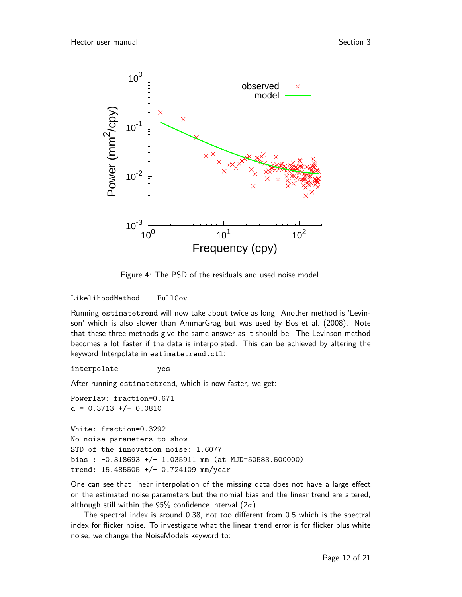

Figure 4: The PSD of the residuals and used noise model.

#### LikelihoodMethod FullCov

Running estimatetrend will now take about twice as long. Another method is 'Levinson' which is also slower than AmmarGrag but was used by Bos et al. (2008). Note that these three methods give the same answer as it should be. The Levinson method becomes a lot faster if the data is interpolated. This can be achieved by altering the keyword Interpolate in estimatetrend.ctl:

#### interpolate yes

After running estimatetrend, which is now faster, we get:

```
Powerlaw: fraction=0.671
d = 0.3713 +/- 0.0810
```

```
White: fraction=0.3292
No noise parameters to show
STD of the innovation noise: 1.6077
bias : -0.318693 +/- 1.035911 mm (at MJD=50583.500000)
trend: 15.485505 +/- 0.724109 mm/year
```
One can see that linear interpolation of the missing data does not have a large effect on the estimated noise parameters but the nomial bias and the linear trend are altered, although still within the 95% confidence interval  $(2\sigma)$ .

The spectral index is around 0.38, not too different from 0.5 which is the spectral index for flicker noise. To investigate what the linear trend error is for flicker plus white noise, we change the NoiseModels keyword to: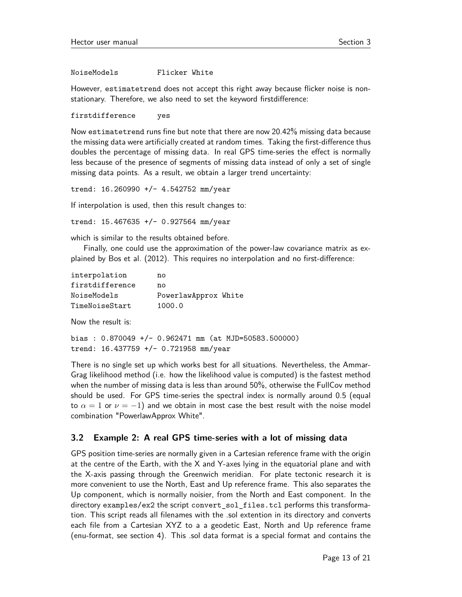NoiseModels Flicker White

However, estimatetrend does not accept this right away because flicker noise is nonstationary. Therefore, we also need to set the keyword firstdifference:

firstdifference yes

Now estimatetrend runs fine but note that there are now 20.42% missing data because the missing data were artificially created at random times. Taking the first-difference thus doubles the percentage of missing data. In real GPS time-series the effect is normally less because of the presence of segments of missing data instead of only a set of single missing data points. As a result, we obtain a larger trend uncertainty:

trend: 16.260990 +/- 4.542752 mm/year

If interpolation is used, then this result changes to:

trend: 15.467635 +/- 0.927564 mm/year

which is similar to the results obtained before.

Finally, one could use the approximation of the power-law covariance matrix as explained by Bos et al. (2012). This requires no interpolation and no first-difference:

| interpolation   | n۵                   |
|-----------------|----------------------|
| firstdifference | n۵                   |
| NoiseModels     | PowerlawApprox White |
| TimeNoiseStart  | 1000.0               |

Now the result is:

bias : 0.870049 +/- 0.962471 mm (at MJD=50583.500000) trend: 16.437759 +/- 0.721958 mm/year

There is no single set up which works best for all situations. Nevertheless, the Ammar-Grag likelihood method (i.e. how the likelihood value is computed) is the fastest method when the number of missing data is less than around 50%, otherwise the FullCov method should be used. For GPS time-series the spectral index is normally around 0.5 (equal to  $\alpha = 1$  or  $\nu = -1$ ) and we obtain in most case the best result with the noise model combination "PowerlawApprox White".

#### **3.2 Example 2: A real GPS time-series with a lot of missing data**

GPS position time-series are normally given in a Cartesian reference frame with the origin at the centre of the Earth, with the X and Y-axes lying in the equatorial plane and with the X-axis passing through the Greenwich meridian. For plate tectonic research it is more convenient to use the North, East and Up reference frame. This also separates the Up component, which is normally noisier, from the North and East component. In the directory examples/ex2 the script convert\_sol\_files.tcl performs this transformation. This script reads all filenames with the .sol extention in its directory and converts each file from a Cartesian XYZ to a a geodetic East, North and Up reference frame (enu-format, see section 4). This .sol data format is a special format and contains the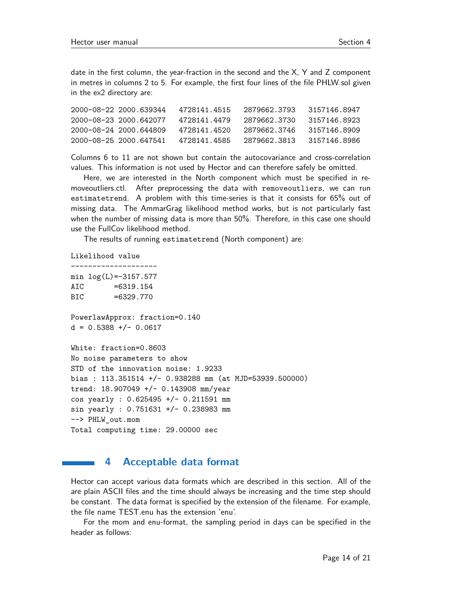date in the first column, the year-fraction in the second and the X, Y and Z component in metres in columns 2 to 5. For example, the first four lines of the file PHLW.sol given in the ex2 directory are:

2000-08-22 2000.639344 4728141.4515 2879662.3793 3157146.8947 2000-08-23 2000.642077 4728141.4479 2879662.3730 3157146.8923 2000-08-24 2000.644809 4728141.4520 2879662.3746 3157146.8909 2000-08-25 2000.647541 4728141.4585 2879662.3813 3157146.8986

Columns 6 to 11 are not shown but contain the autocovariance and cross-correlation values. This information is not used by Hector and can therefore safely be omitted.

Here, we are interested in the North component which must be specified in removeoutliers.ctl. After preprocessing the data with removeoutliers, we can run estimatetrend. A problem with this time-series is that it consists for 65% out of missing data. The AmmarGrag likelihood method works, but is not particularly fast when the number of missing data is more than 50%. Therefore, in this case one should use the FullCov likelihood method.

The results of running estimatetrend (North component) are:

Likelihood value

```
--------------------
min log(L) = -3157.577AIC = 6319.154BIC =6329.770
PowerlawApprox: fraction=0.140
d = 0.5388 +/- 0.0617White: fraction=0.8603
No noise parameters to show
STD of the innovation noise: 1.9233
bias : 113.351514 +/- 0.938288 mm (at MJD=53939.500000)
trend: 18.907049 +/- 0.143908 mm/year
cos yearly : 0.625495 +/- 0.211591 mm
sin yearly : 0.751631 +/- 0.238983 mm
--> PHLW_out.mom
Total computing time: 29.00000 sec
```
# **4 Acceptable data format**

Hector can accept various data formats which are described in this section. All of the are plain ASCII files and the time should always be increasing and the time step should be constant. The data format is specified by the extension of the filename. For example, the file name TEST.enu has the extension 'enu'.

For the mom and enu-format, the sampling period in days can be specified in the header as follows: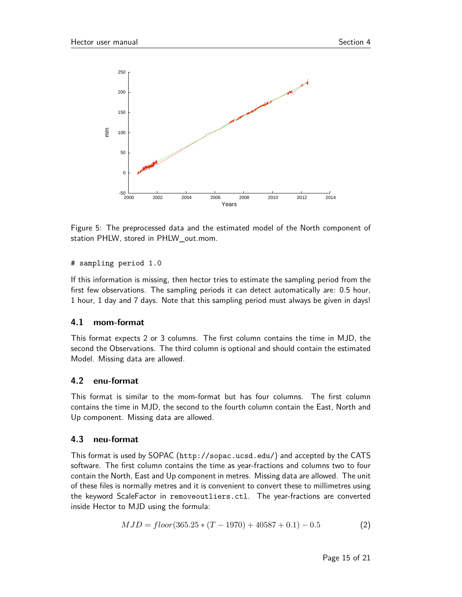

Figure 5: The preprocessed data and the estimated model of the North component of station PHLW, stored in PHLW\_out.mom.

#### # sampling period 1.0

If this information is missing, then hector tries to estimate the sampling period from the first few observations. The sampling periods it can detect automatically are: 0.5 hour, 1 hour, 1 day and 7 days. Note that this sampling period must always be given in days!

#### **4.1 mom-format**

This format expects 2 or 3 columns. The first column contains the time in MJD, the second the Observations. The third column is optional and should contain the estimated Model. Missing data are allowed.

#### **4.2 enu-format**

This format is similar to the mom-format but has four columns. The first column contains the time in MJD, the second to the fourth column contain the East, North and Up component. Missing data are allowed.

#### **4.3 neu-format**

This format is used by SOPAC (http://sopac.ucsd.edu/) and accepted by the CATS software. The first column contains the time as year-fractions and columns two to four contain the North, East and Up component in metres. Missing data are allowed. The unit of these files is normally metres and it is convenient to convert these to millimetres using the keyword ScaleFactor in removeoutliers.ctl. The year-fractions are converted inside Hector to MJD using the formula:

$$
MJD = floor(365.25 * (T - 1970) + 40587 + 0.1) - 0.5
$$
\n(2)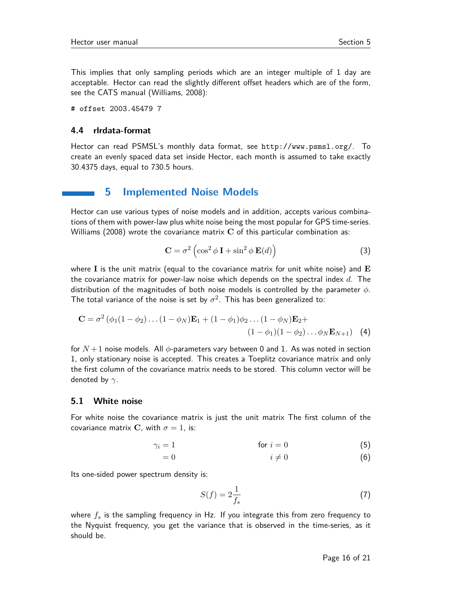This implies that only sampling periods which are an integer multiple of 1 day are acceptable. Hector can read the slightly different offset headers which are of the form, see the CATS manual (Williams, 2008):

# offset 2003.45479 7

#### **4.4 rlrdata-format**

Hector can read PSMSL's monthly data format, see http://www.psmsl.org/. To create an evenly spaced data set inside Hector, each month is assumed to take exactly 30.4375 days, equal to 730.5 hours.

# **5 Implemented Noise Models**

Hector can use various types of noise models and in addition, accepts various combinations of them with power-law plus white noise being the most popular for GPS time-series. Williams (2008) wrote the covariance matrix **C** of this particular combination as:

$$
\mathbf{C} = \sigma^2 \left( \cos^2 \phi \, \mathbf{I} + \sin^2 \phi \, \mathbf{E}(d) \right) \tag{3}
$$

where **I** is the unit matrix (equal to the covariance matrix for unit white noise) and **E** the covariance matrix for power-law noise which depends on the spectral index *d*. The distribution of the magnitudes of both noise models is controlled by the parameter *φ*. The total variance of the noise is set by  $\sigma^2$ . This has been generalized to:

$$
\mathbf{C} = \sigma^2 (\phi_1 (1 - \phi_2) \dots (1 - \phi_N) \mathbf{E}_1 + (1 - \phi_1) \phi_2 \dots (1 - \phi_N) \mathbf{E}_2 + (1 - \phi_1) (1 - \phi_2) \dots \phi_N \mathbf{E}_{N+1}) \tag{4}
$$

for  $N+1$  noise models. All  $\phi$ -parameters vary between 0 and 1. As was noted in section 1, only stationary noise is accepted. This creates a Toeplitz covariance matrix and only the first column of the covariance matrix needs to be stored. This column vector will be denoted by *γ*.

#### **5.1 White noise**

For white noise the covariance matrix is just the unit matrix The first column of the covariance matrix **C**, with  $\sigma = 1$ , is:

$$
\gamma_i = 1 \qquad \qquad \text{for } i = 0 \tag{5}
$$

$$
i \neq 0 \tag{6}
$$

Its one-sided power spectrum density is:

$$
S(f) = 2\frac{1}{f_s} \tag{7}
$$

where *f<sup>s</sup>* is the sampling frequency in Hz. If you integrate this from zero frequency to the Nyquist frequency, you get the variance that is observed in the time-series, as it should be.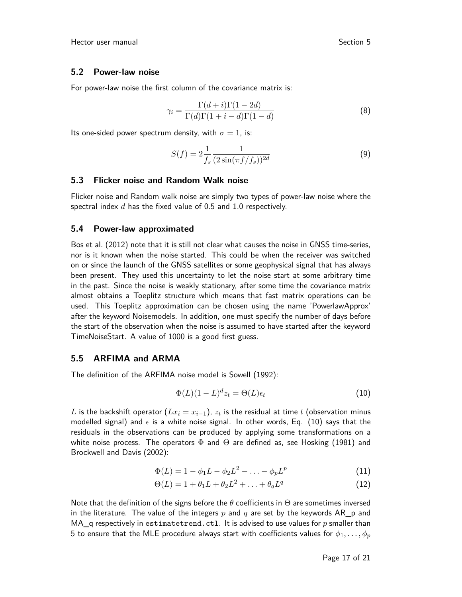#### **5.2 Power-law noise**

For power-law noise the first column of the covariance matrix is:

$$
\gamma_i = \frac{\Gamma(d+i)\Gamma(1-2d)}{\Gamma(d)\Gamma(1+i-d)\Gamma(1-d)}\tag{8}
$$

Its one-sided power spectrum density, with  $\sigma = 1$ , is:

$$
S(f) = 2\frac{1}{f_s} \frac{1}{(2\sin(\pi f/f_s))^{2d}}
$$
\n(9)

#### **5.3 Flicker noise and Random Walk noise**

Flicker noise and Random walk noise are simply two types of power-law noise where the spectral index *d* has the fixed value of 0.5 and 1.0 respectively.

#### **5.4 Power-law approximated**

Bos et al. (2012) note that it is still not clear what causes the noise in GNSS time-series, nor is it known when the noise started. This could be when the receiver was switched on or since the launch of the GNSS satellites or some geophysical signal that has always been present. They used this uncertainty to let the noise start at some arbitrary time in the past. Since the noise is weakly stationary, after some time the covariance matrix almost obtains a Toeplitz structure which means that fast matrix operations can be used. This Toeplitz approximation can be chosen using the name 'PowerlawApprox' after the keyword Noisemodels. In addition, one must specify the number of days before the start of the observation when the noise is assumed to have started after the keyword TimeNoiseStart. A value of 1000 is a good first guess.

#### **5.5 ARFIMA and ARMA**

The definition of the ARFIMA noise model is Sowell (1992):

$$
\Phi(L)(1-L)^{d}z_t = \Theta(L)\epsilon_t \tag{10}
$$

 $L$  is the backshift operator  $(Lx_i = x_{i-1})$ ,  $z_t$  is the residual at time  $t$  (observation minus modelled signal) and  $\epsilon$  is a white noise signal. In other words, Eq. (10) says that the residuals in the observations can be produced by applying some transformations on a white noise process. The operators  $\Phi$  and  $\Theta$  are defined as, see Hosking (1981) and Brockwell and Davis (2002):

$$
\Phi(L) = 1 - \phi_1 L - \phi_2 L^2 - \dots - \phi_p L^p \tag{11}
$$

$$
\Theta(L) = 1 + \theta_1 L + \theta_2 L^2 + \ldots + \theta_q L^q \tag{12}
$$

Note that the definition of the signs before the *θ* coefficients in Θ are sometimes inversed in the literature. The value of the integers *p* and *q* are set by the keywords AR\_p and MA\_q respectively in estimatetrend.ctl. It is advised to use values for *p* smaller than 5 to ensure that the MLE procedure always start with coefficients values for  $\phi_1, \ldots, \phi_p$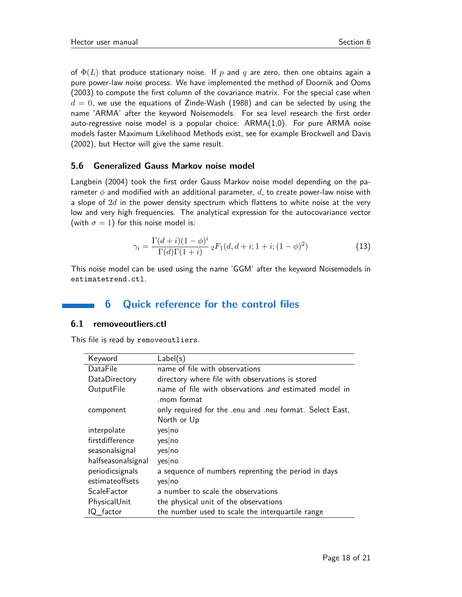of Φ(*L*) that produce stationary noise. If *p* and *q* are zero, then one obtains again a pure power-law noise process. We have implemented the method of Doornik and Ooms (2003) to compute the first column of the covariance matrix. For the special case when  $d = 0$ , we use the equations of Zinde-Wash (1988) and can be selected by using the name 'ARMA' after the keyword Noisemodels. For sea level research the first order auto-regressive noise model is a popular choice:  $ARMA(1,0)$ . For pure  $ARMA$  noise models faster Maximum Likelihood Methods exist, see for example Brockwell and Davis (2002), but Hector will give the same result.

#### **5.6 Generalized Gauss Markov noise model**

Langbein (2004) took the first order Gauss Markov noise model depending on the parameter *φ* and modified with an additional parameter, *d*, to create power-law noise with a slope of 2*d* in the power density spectrum which flattens to white noise at the very low and very high frequencies. The analytical expression for the autocovariance vector (with  $\sigma = 1$ ) for this noise model is:

$$
\gamma_i = \frac{\Gamma(d+i)(1-\phi)^i}{\Gamma(d)\Gamma(1+i)} {}_2F_1(d, d+i; 1+i; (1-\phi)^2)
$$
\n(13)

This noise model can be used using the name 'GGM' after the keyword Noisemodels in estimatetrend.ctl.

# **6 Quick reference for the control files**

#### **6.1 removeoutliers.ctl**

This file is read by removeoutliers.

| Keyword            | Label(s)                                                                |
|--------------------|-------------------------------------------------------------------------|
| DataFile           | name of file with observations                                          |
| DataDirectory      | directory where file with observations is stored                        |
| OutputFile         | name of file with observations and estimated model in<br>.mom format    |
| component          | only required for the .enu and .neu format. Select East,<br>North or Up |
| interpolate        | yes no                                                                  |
| firstdifference    | yes no                                                                  |
| seasonalsignal     | yes no                                                                  |
| halfseasonalsignal | yes no                                                                  |
| periodicsignals    | a sequence of numbers reprenting the period in days                     |
| estimateoffsets    | yes no                                                                  |
| <b>ScaleFactor</b> | a number to scale the observations                                      |
| PhysicalUnit       | the physical unit of the observations                                   |
| IQ factor          | the number used to scale the interquartile range                        |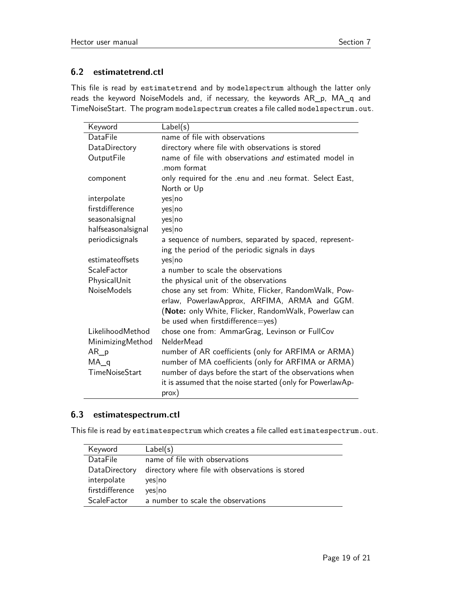### **6.2 estimatetrend.ctl**

This file is read by estimatetrend and by modelspectrum although the latter only reads the keyword NoiseModels and, if necessary, the keywords AR\_p, MA\_q and TimeNoiseStart. The program modelspectrum creates a file called modelspectrum.out.

| Keyword            | Label(s)                                                   |
|--------------------|------------------------------------------------------------|
| DataFile           | name of file with observations                             |
| DataDirectory      | directory where file with observations is stored           |
| OutputFile         | name of file with observations and estimated model in      |
|                    | mom format                                                 |
| component          | only required for the .enu and .neu format. Select East,   |
|                    | North or Up                                                |
| interpolate        | yes no                                                     |
| firstdifference    | yes no                                                     |
| seasonalsignal     | yes no                                                     |
| halfseasonalsignal | yes no                                                     |
| periodicsignals    | a sequence of numbers, separated by spaced, represent-     |
|                    | ing the period of the periodic signals in days             |
| estimateoffsets    | yes no                                                     |
| <b>ScaleFactor</b> | a number to scale the observations                         |
| PhysicalUnit       | the physical unit of the observations                      |
| <b>NoiseModels</b> | chose any set from: White, Flicker, RandomWalk, Pow-       |
|                    | erlaw, PowerlawApprox, ARFIMA, ARMA and GGM.               |
|                    | (Note: only White, Flicker, RandomWalk, Powerlaw can       |
|                    | be used when firstdifference=yes)                          |
| LikelihoodMethod   | chose one from: AmmarGrag, Levinson or FullCov             |
| MinimizingMethod   | <b>NelderMead</b>                                          |
| $AR_p$             | number of AR coefficients (only for ARFIMA or ARMA)        |
| $MA_q$             | number of MA coefficients (only for ARFIMA or ARMA)        |
| TimeNoiseStart     | number of days before the start of the observations when   |
|                    | it is assumed that the noise started (only for PowerlawAp- |
|                    | prox)                                                      |

### **6.3 estimatespectrum.ctl**

This file is read by estimatespectrum which creates a file called estimatespectrum.out.

| Keyword            | Label(s)                                         |
|--------------------|--------------------------------------------------|
| DataFile           | name of file with observations                   |
| DataDirectory      | directory where file with observations is stored |
| interpolate        | yes no                                           |
| firstdifference    | yes no                                           |
| <b>ScaleFactor</b> | a number to scale the observations               |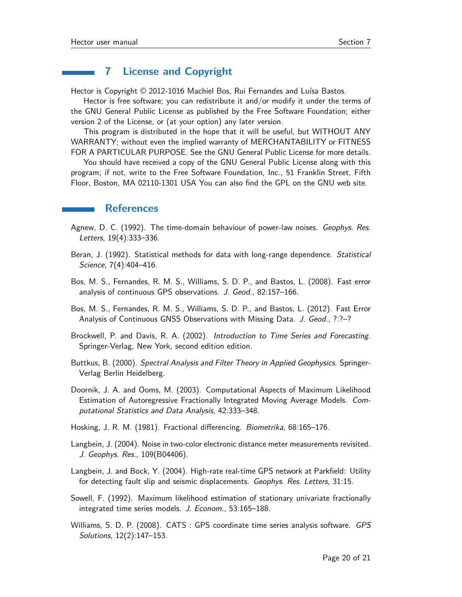## **7 License and Copyright**

Hector is Copyright © 2012-1016 Machiel Bos, Rui Fernandes and Luísa Bastos.

Hector is free software; you can redistribute it and/or modify it under the terms of the GNU General Public License as published by the Free Software Foundation; either version 2 of the License, or (at your option) any later version.

This program is distributed in the hope that it will be useful, but WITHOUT ANY WARRANTY; without even the implied warranty of MERCHANTABILITY or FITNESS FOR A PARTICULAR PURPOSE. See the GNU General Public License for more details.

You should have received a copy of the GNU General Public License along with this program; if not, write to the Free Software Foundation, Inc., 51 Franklin Street, Fifth Floor, Boston, MA 02110-1301 USA You can also find the GPL on the GNU web site.

### **References**

- Agnew, D. C. (1992). The time-domain behaviour of power-law noises. Geophys. Res. Letters, 19(4):333–336.
- Beran, J. (1992). Statistical methods for data with long-range dependence. Statistical Science, 7(4):404–416.
- Bos, M. S., Fernandes, R. M. S., Williams, S. D. P., and Bastos, L. (2008). Fast error analysis of continuous GPS observations. J. Geod., 82:157–166.
- Bos, M. S., Fernandes, R. M. S., Williams, S. D. P., and Bastos, L. (2012). Fast Error Analysis of Continuous GNSS Observations with Missing Data. J. Geod., ?:?-?
- Brockwell, P. and Davis, R. A. (2002). Introduction to Time Series and Forecasting. Springer-Verlag, New York, second edition edition.
- Buttkus, B. (2000). Spectral Analysis and Filter Theory in Applied Geophysics. Springer-Verlag Berlin Heidelberg.
- Doornik, J. A. and Ooms, M. (2003). Computational Aspects of Maximum Likelihood Estimation of Autoregressive Fractionally Integrated Moving Average Models. Computational Statistics and Data Analysis, 42:333–348.
- Hosking, J. R. M. (1981). Fractional differencing. Biometrika, 68:165–176.
- Langbein, J. (2004). Noise in two-color electronic distance meter measurements revisited. J. Geophys. Res., 109(B04406).
- Langbein, J. and Bock, Y. (2004). High-rate real-time GPS network at Parkfield: Utility for detecting fault slip and seismic displacements. Geophys. Res. Letters, 31:15.
- Sowell, F. (1992). Maximum likelihood estimation of stationary univariate fractionally integrated time series models. J. Econom., 53:165–188.
- Williams, S. D. P. (2008). CATS : GPS coordinate time series analysis software. GPS Solutions, 12(2):147–153.